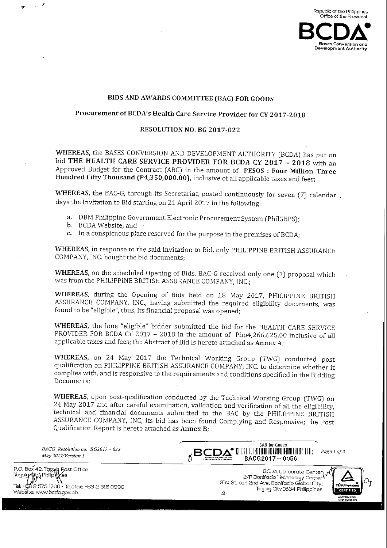

### BIDS AND AWARDS COMMITTEE (BAC) FOR GOODS

# Procurement of BCDA's Health Care Service Provider for CY 2017-2018

# RESOLUTION NO. BG 2017-022

WHEREAS, the BASES CONVERSION AND DEVELOPMENT AUTHORITY (BCDA) has put on bid THE HEALTH CARE SERVICE PROVIDER FOR BCDA CY 2017 - 2018 with an Approved Budget for the Contract (ABC) in the amount of PESOS : Four Million Three Hundred Fifty Thousand (P4,350,000.00), inclusive of all applicable taxes and fees;

WHEREAS, the BAC-G, through its Secretariat, posted continuously for seven (7) calendar. days the Invitation to Bid starting on 21 April 2017 in the following:

- a. DBM Philippine Government Electronic Procurement System (PhilGEPS); a. DBM Philippine Gov<br>b. BCDA Website; and
- 
- b. BCDA Website; and<br>c. In a conspicuous place reserved for the purpose in the premises of BCDA;

WHEREAS, in response to the said Invitation to Bid, only PHILIPPINE BRITISH ASSURANCE COMPANY, INC. bought the bid documents;

WHEREAS, on the scheduled Opening of Bids, BAC-G received only one (1) proposal which was from the PHILIPPINE BRITISH ASSURANCE COMPANY, INC.;

WHEREAS, during the Opening of Bids held on 18 May 2017, PHILIPPINE BRITISH ASSURANCE COMPANY, INC., having submitted the required eligibility documents, was found to be "eligible", thus, its financial proposal was opened;

WHEREAS, the lone "eligible" bidder submitted the bid for the HEALTH CARE SERVICE PROVIDER FOR BCDA CY 2017  $-$  2018 in the amount of Php4,266,625.00 inclusive of all applicable taxes and fees; the Abstract of Bid is hereto attached as Annex A;

WHEREAS, on 24 May 2017 the Technical Working Group (TWG) conducted post qualification on PHILIPPINE BRITISH ASSURANCE COMPANY, INC. to determine whether it complies with, and is responsive to the requirements and conditions specified in the Bidding Documents;

wHEREAS, upon post-qualification conducted by the Technical Working Group (TWG) on<br>24 May 2017 and after careful examination, validation and verification of all the eligibility, technical and after careful examination, validation and verification of all the eligibility, technical and financial documents submitted to the BAC by the PHILIPPINE BRITISH ASSURANCE COMPANY, INC, its bid has been found Complying and Responsive; the Post Qualification Report is hereto attached as Annex B; complies with, and is respon<br>Documents;<br>WHEREAS, upon post-qual<br>- 24 May 2017 and after care<br>technical and financial do<br>ASSURANCE COMPANY, IN<br>Qualification Report is heret<br>BACG Resolution no. BG2017–022<br>May 2017/Version 1<br> ed by the Technical Working Group (TWG) on<br>validation and verification of all the eligibility,<br>red to the BAC by the PHILIPPINE BRITISH<br>en found Complying and Responsive; the Post<br>nex B;<br> $\overline{B}$ <br> $\overline{B}$ <br> $\overline{B}$ <br> $\overline{B}$ WHEREAS, on 24 May 2017 the<br>qualification on PHILIPPINE BRITISH.<br>complies with, and is responsive to the<br>Documents;<br>WHEREAS, upon post-qualification co<br>24 May 2017 and after careful examin<br>technical and financial document

 $BACG$  Resolution no.  $BG2017 - 022$ <br>May 2017/Version 1

BACG2017-0056

P.O.Box42,Tagtw; Tasui^tyjPhilip^ Tel: +62 2 575 1700 · Telefax: +63 2 816 0996<br>Website: www.bcda.gov.ph

BCDA Corporate Center<br>| 2/F Bonifacio Technology Center 31st St. cor. 2nd Ave. Bonifacio Global City, Taguig City 1634 Philippines  $\omega$ 

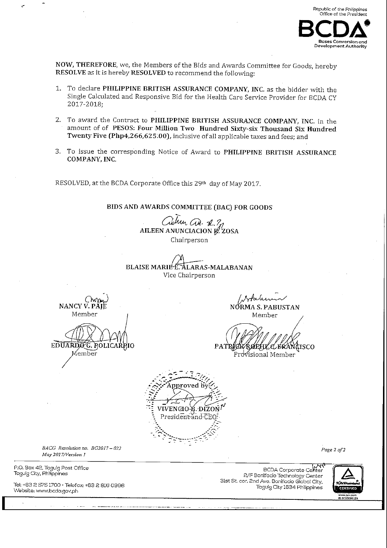

NOW, THEREFORE, we, the Members of the Bids and Awards Committee for Goods, hereby RESOLVE as it is hereby RESOLVED to recommend the following:

- 1. To declare PHILIPPINE BRITISH ASSURANCE COMPANY, INC. as the bidder with the Single Calculated and Responsive Bid for the Health Care Service Provider for BCDA CY 2017-2018;
- 2. To award the Contract to PHILIPPINE BRITISH ASSURANCE COMPANY, INC. in the amount of of PESOS: Four Million Two Hundred Sixty-six Thousand Six Hundred Twenty Five (Php4,266,625.00), inclusive of all applicable taxes and fees; and
- 3. To issue the corresponding Notice of Award to PHILIPPINE BRITISH ASSURANCE COMPANY, INC.

RESOLVED, at the BCDA Corporate Office this 29th day of May 2017.

BIDS AND AWARDS COMMITTEE (BAC) FOR GOODS

when as 22 AILEEN ANUNCIACION R. ZOSA Chairperson

**BLAISE MARIE E.** ALARAS-MALABANAN Vice Chairperson

NANCY V.  $P^{\lambda}$ Member

EDUARDOG. ROLICARP

Member

NÓRMA S. PABUSTAN Member

PATR **AKRØEHLE EKÄNGISCO** Provisional Member



BACG Resolution no. BG2017-022 May 2017/Version 1

P.O. Box 42, Taguig Post Office Taguig City, Philippines

Tel: +63 2 575 1700 · Telefax: +63 2 816 0996 Website: www.bcda.gov.ph

BCDA Corporate Center 2/F Bonifacio Technology Center 31st St. cor. 2nd Ave. Bonifacio Global City, Taguig City 1634 Philippines



Page 2 of 2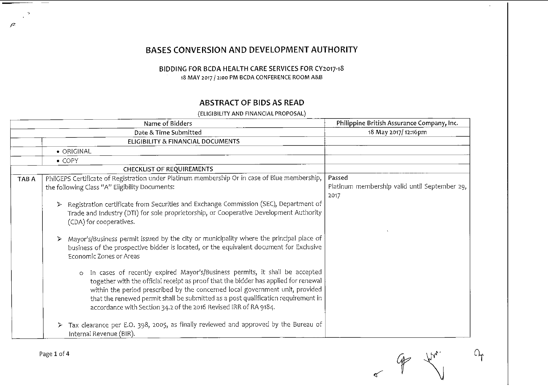# BASES CONVERSION AND DEVELOPMENT AUTHORITY

# BIDDING FOR BCDA HEALTH CARE SERVICES FOR CY2017-18 18 MAY 2017 / 2:00 PM BCDA CONFERENCE ROOM A&B

# **ABSTRACT OF BIDS AS READ**

(ELIGIBILITY AND FINANCIAL PROPOSAL)

|       | Name of Bidders                                                                                                                                                                                                                                                                                                                                                                                                         | Philippine British Assurance Company, Inc.                      |
|-------|-------------------------------------------------------------------------------------------------------------------------------------------------------------------------------------------------------------------------------------------------------------------------------------------------------------------------------------------------------------------------------------------------------------------------|-----------------------------------------------------------------|
|       | Date & Time Submitted                                                                                                                                                                                                                                                                                                                                                                                                   | 18 May 2017/12:16pm                                             |
|       | ELIGIBILITY & FINANCIAL DOCUMENTS                                                                                                                                                                                                                                                                                                                                                                                       |                                                                 |
|       | • ORIGINAL                                                                                                                                                                                                                                                                                                                                                                                                              |                                                                 |
|       | $\bullet$ COPY                                                                                                                                                                                                                                                                                                                                                                                                          |                                                                 |
|       | <b>CHECKLIST OF REQUIREMENTS</b>                                                                                                                                                                                                                                                                                                                                                                                        |                                                                 |
| TAB A | PhilGEPS Certificate of Registration under Platinum membership Or in case of Blue membership,<br>the following Class "A" Eligibility Documents:                                                                                                                                                                                                                                                                         | Passed<br>Platinum membership valid until September 29,<br>2017 |
|       | Registration certificate from Securities and Exchange Commission (SEC), Department of<br>≻<br>Trade and Industry (DTI) for sole proprietorship, or Cooperative Development Authority<br>(CDA) for cooperatives.                                                                                                                                                                                                         |                                                                 |
|       | Mayor's/Business permit issued by the city or municipality where the principal place of<br>business of the prospective bidder is located, or the equivalent document for Exclusive<br>Economic Zones or Areas                                                                                                                                                                                                           |                                                                 |
|       | In cases of recently expired Mayor's/Business permits, it shall be accepted<br>$\circ$<br>together with the official receipt as proof that the bidder has applied for renewal<br>within the period prescribed by the concerned local government unit, provided<br>that the renewed permit shall be submitted as a post qualification requirement in<br>accordance with Section 34.2 of the 2016 Revised IRR of RA 9184. |                                                                 |
|       | > Tax clearance per E.O. 398, 2005, as finally reviewed and approved by the Bureau of<br>Internal Revenue (BIR).                                                                                                                                                                                                                                                                                                        |                                                                 |

 $O_{\Upsilon}$ 

 $\mathcal{L}$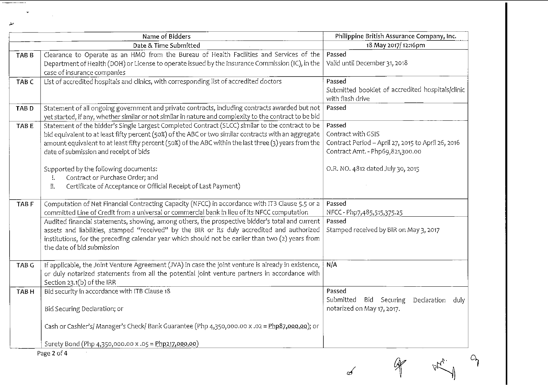|                  | Name of Bidders                                                                                                                                                                                                                                                                                                                                                                                                                                                                                                        | Philippine British Assurance Company, Inc.                                                                                                                  |
|------------------|------------------------------------------------------------------------------------------------------------------------------------------------------------------------------------------------------------------------------------------------------------------------------------------------------------------------------------------------------------------------------------------------------------------------------------------------------------------------------------------------------------------------|-------------------------------------------------------------------------------------------------------------------------------------------------------------|
|                  | Date & Time Submitted                                                                                                                                                                                                                                                                                                                                                                                                                                                                                                  | 18 May 2017/12:16pm                                                                                                                                         |
| TAB <sub>B</sub> | Clearance to Operate as an HMO from the Bureau of Health Facilities and Services of the<br>Department of Health (DOH) or License to operate issued by the Insurance Commission (IC), in the<br>case of insurance companies                                                                                                                                                                                                                                                                                             | Passed<br>Valid until December 31, 2018                                                                                                                     |
| TAB <sub>C</sub> | List of accredited hospitals and clinics, with corresponding list of accredited doctors                                                                                                                                                                                                                                                                                                                                                                                                                                | Passed<br>Submitted booklet of accredited hospitals/clinic<br>with flash drive                                                                              |
| TAB <sub>D</sub> | Statement of all ongoing government and private contracts, including contracts awarded but not<br>yet started, if any, whether similar or not similar in nature and complexity to the contract to be bid                                                                                                                                                                                                                                                                                                               | Passed                                                                                                                                                      |
| TAB <sub>E</sub> | Statement of the bidder's Single Largest Completed Contract (SLCC) similar to the contract to be<br>bid equivalent to at least fifty percent (50%) of the ABC or two similar contracts with an aggregate<br>amount equivalent to at least fifty percent (50%) of the ABC within the last three (3) years from the<br>date of submission and receipt of bids<br>Supported by the following documents:<br>Contract or Purchase Order; and<br>Ť.<br>Certificate of Acceptance or Official Receipt of Last Payment)<br>ji. | Passed<br>Contract with GSIS<br>Contract Period - April 27, 2015 to April 26, 2016<br>Contract Amt. - Php69,821,300.00<br>O.R. NO. 4812 dated July 30, 2015 |
| TAB <sub>F</sub> | Computation of Net Financial Contracting Capacity (NFCC) in accordance with ITB Clause 5.5 or a<br>committed Line of Credit from a universal or commercial bank in lieu of its NFCC computation                                                                                                                                                                                                                                                                                                                        | Passed<br>NFCC - Php7,485,515,375.25                                                                                                                        |
|                  | Audited financial statements, showing, among others, the prospective bidder's total and current<br>assets and liabilities, stamped "received" by the BIR or its duly accredited and authorized<br>institutions, for the preceding calendar year which should not be earlier than two (2) years from<br>the date of bid submission                                                                                                                                                                                      | Passed<br>Stamped received by BIR on May 3, 2017                                                                                                            |
| TAB <sub>G</sub> | If applicable, the Joint Venture Agreement (JVA) in case the joint venture is already in existence,<br>or duly notarized statements from all the potential joint venture partners in accordance with<br>Section 23.1(b) of the IRR                                                                                                                                                                                                                                                                                     | N/A                                                                                                                                                         |
| TAB H            | Bid security in accordance with ITB Clause 18<br>Bid Securing Declaration; or                                                                                                                                                                                                                                                                                                                                                                                                                                          | Passed<br>Submitted<br>Bid Securing<br>Declaration<br>duly<br>notarized on May 17, 2017.                                                                    |
|                  | Cash or Cashier's/ Manager's Check/ Bank Guarantee (Php 4,350,000.00 x .02 = Php87,000.00); or                                                                                                                                                                                                                                                                                                                                                                                                                         |                                                                                                                                                             |
|                  | Surety Bond (Php 4,350,000.00 x .05 = Php217,000.00)                                                                                                                                                                                                                                                                                                                                                                                                                                                                   |                                                                                                                                                             |
|                  | Page 2 of 4                                                                                                                                                                                                                                                                                                                                                                                                                                                                                                            |                                                                                                                                                             |
|                  |                                                                                                                                                                                                                                                                                                                                                                                                                                                                                                                        |                                                                                                                                                             |

 $\frac{\partial \mathbf{F}}{\partial \mathbf{r}} = \frac{1}{\mathcal{F}(\mathbf{r})} \frac{\partial \mathbf{r}}{\partial \mathbf{r}} \frac{\partial \mathbf{r}}{\partial \mathbf{r}}$ 

عيتي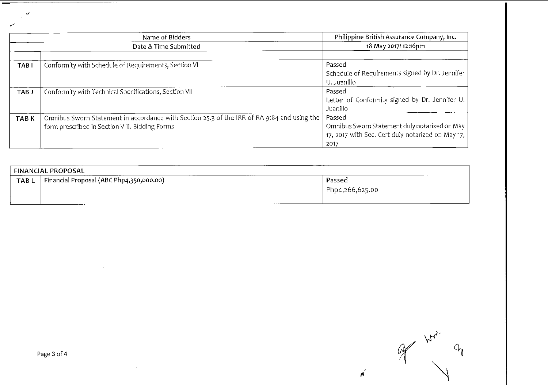|                  | Name of Bidders                                                                                                                               | Philippine British Assurance Company, Inc.<br>18 May 2017/12:16pm                                                    |  |
|------------------|-----------------------------------------------------------------------------------------------------------------------------------------------|----------------------------------------------------------------------------------------------------------------------|--|
|                  | Date & Time Submitted                                                                                                                         |                                                                                                                      |  |
| TAB <sub>I</sub> | Conformity with Schedule of Requirements, Section VI                                                                                          | Passed<br>Schedule of Requirements signed by Dr. Jennifer<br>U. Juanillo                                             |  |
| TAB J            | Conformity with Technical Specifications, Section VII                                                                                         | Passed<br>Letter of Conformity signed by Dr. Jennifer U.<br>Juanillo                                                 |  |
| TAB K            | Omnibus Sworn Statement in accordance with Section 25.3 of the IRR of RA 9184 and using the<br>form prescribed in Section VIII. Bidding Forms | Passed<br>Omnibus Sworn Statement duly notarized on May<br>17, 2017 with Sec. Cert duly notarized on May 17,<br>2017 |  |

|                  | <b>FINANCIAL PROPOSAL</b>                |                           |
|------------------|------------------------------------------|---------------------------|
| TAB <sub>L</sub> | Financial Proposal (ABC Php4,350,000.00) | Passed<br>Php4,266,625.00 |

 $\sim$   $\sim$ 

 $\mathcal{A}$ 

 $A_{\mathcal{V}_{\mathbf{v}}}$  $P_{\text{c}}$  $\oint$ 

 $\cancel{\epsilon}$ 

 $\sim$ 

 $\varphi^{\downarrow}$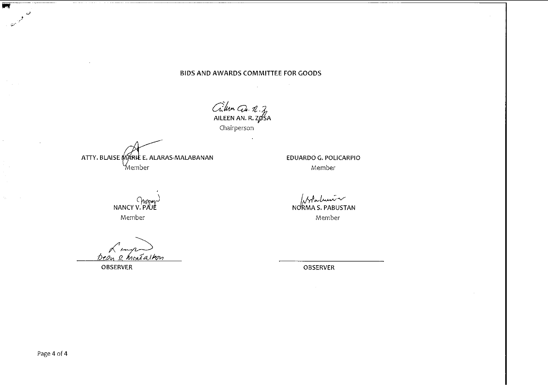# BIDS AND AWARDS COMMITTEE FOR GOODS

Crition Cu. R. 7<br>AILEEN AN. R. 705A<br>Chairperson

ATTY. BLAISE MARIE E. ALARAS-MALABANAN Member

WAY CHANGY V. PAUE Member

Dean & houtailean

**OBSERVER** 

EDUARDO G. POLICARPIO Member

And Lui<br>NORMAS. PABUSTAN Member

OBSERVER

医学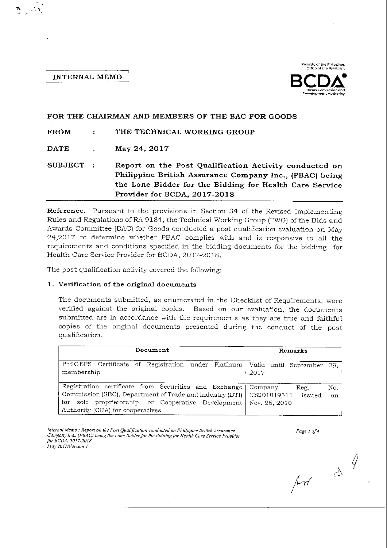### **INTERNAL MEMO**



#### FOR THE CHAIRMAN AND MEMBERS OF THE BAC FOR GOODS **FROM**  $\ddot{\cdot}$ THE TECHNICAL WORKING GROUP **DATE** May 24, 2017  $\ddot{\cdot}$ SUBJECT : Report on the Post Qualification Activity conducted on Philippine British Assurance Company Inc., (PBAC) being the Lone Bidder for the Bidding for Health Care Service Provider for BCDA, 2017-2018

Reference. Pursuant to the provisions in Section 34 of the Revised Implementing Rules and Regulations of RA 9184, the Technical Working Group (TWG) of the Bids and Awards Committee (BAC) for Goods conducted a post qualification evaluation on May 24,2017 to determine whether PBAC complies with and is responsive to all the requirements and conditions specified in the bidding documents for the bidding for Health Care Service Provider for BCDA, 2017-2018.

The post qualification activity covered the following:

# 1. Verification of the original documents

The documents submitted, as enumerated in the Checklist of Requirements, were verified against the original copies. Based on our evaluation, the documents submitted are in accordance with the requirements as they are true and faithful copies of the original documents presented during the conduct of the post qualification.

| Document                                                                                                                                                                                                      | Remarks                                                                |  |  |
|---------------------------------------------------------------------------------------------------------------------------------------------------------------------------------------------------------------|------------------------------------------------------------------------|--|--|
| PhilGEPS Certificate of Registration under Platinum<br>membership                                                                                                                                             | Valid until September 29,<br>2017                                      |  |  |
| Registration certificate from Securities and Exchange<br>Commission (SEC), Department of Trade and Industry (DTI)<br>for sole proprietorship, or Cooperative Development<br>Authority (CDA) for cooperatives. | Company<br>Reg.<br>No.<br>CS201019311<br>issued<br>on<br>Nov. 26, 2010 |  |  |

Internal Memo : Report on the Post Qualification conducted on Philippine British Assurance Company Inc., (PBAC) being the Lone Bidder for the Bidding for Health Care Service Provider for BCDA, 2017-2018 May 2017/Version 1

Page 1 of 4

 $\frac{1}{2}$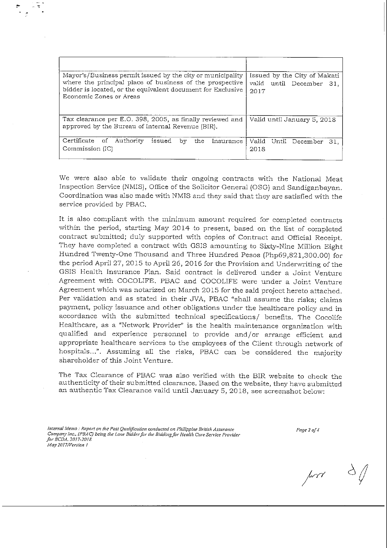| Mayor's/Business permit issued by the city or municipality<br>where the principal place of business of the prospective<br>bidder is located, or the equivalent document for Exclusive<br>Economic Zones or Areas | Issued by the City of Makati<br>valid until December 31,<br>2017 |  |  |
|------------------------------------------------------------------------------------------------------------------------------------------------------------------------------------------------------------------|------------------------------------------------------------------|--|--|
| Tax clearance per E.O. 398, 2005, as finally reviewed and<br>approved by the Bureau of Internal Revenue (BIR).                                                                                                   | Valid until January 5, 2018                                      |  |  |
| Certificate of Authority<br>issued<br>the.<br>Insurance<br>bv<br>Commission (IC)                                                                                                                                 | Valid Until December<br>31.<br>2018                              |  |  |

We were also able to validate their ongoing contracts with the National Meat Inspection Service (NMIS), Office of the Solicitor General (OSG) and Sandiganbayan. Coordination was also made with NMIS and they said that they are satisfied with the service provided by PBAC.

It is also compliant with the minimum amount required for completed contracts within the period, starting May 2014 to present, based on the list of completed contract submitted; duly supported with copies of Contract and Official Receipt. They have completed a contract with GSIS amounting to Sixty-Nine Million Eight Hundred Twenty-One Thousand and Three Hundred Pesos (Php69,821,300.00) for the period April 27, 2015 to April 26, 2016 for the Provision and Underwriting of the GSIS Health Insurance Plan. Said contract is delivered under a Joint Venture Agreement with COCOLIFE. PBAC and COCOLIFE were under a Joint Venture Agreement which was notarized on March 2015 for the said project hereto attached. Per validation and as stated in their JVA, PBAC "shall assume the risks; claims payment, policy issuance and other obligations under the healthcare policy and in accordance with the submitted technical specifications/ benefits. The Cocolife Healthcare, as a "Network Provider" is the health maintenance organization with qualified and experience personnel to provide and/or arrange efficient and appropriate healthcare services to the employees of the Client through network of hospitals...". Assuming all the risks, PBAC can be considered the majority shareholder of this Joint Venture.

The Tax Clearance of PBAC was also verified with the BIR website to check the authenticity of their submitted clearance. Based on the website, they have submitted an authentic Tax Clearance valid until January 5, 2018, see screenshot below:

Page  $2$  of  $4$ 

 $\mu$ 

 $d$ 

Internal Memo: Report on the Post Qualification conducted on Philippine British Assurance Company Inc., (PBAC) being the Lone Bidder for the Bidding for Health Care Service Provider for BCDA, 2017-2018 May 2017/Version 1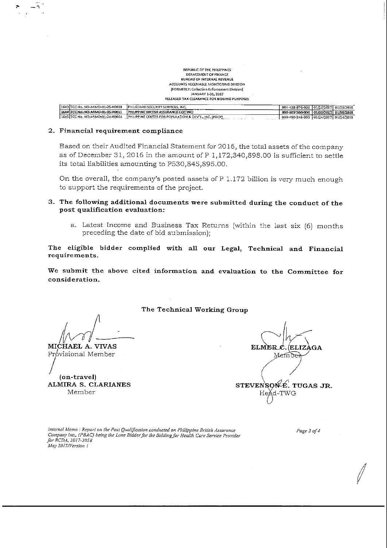| REPUBLIC OF THE PHILIPPINES.                                                              |                                       |                       |  |
|-------------------------------------------------------------------------------------------|---------------------------------------|-----------------------|--|
| DEPARTMENT OF FINANCE.                                                                    |                                       |                       |  |
| BUREAU OF INTERNAL REVENUE                                                                |                                       |                       |  |
| ACCOUNTS RECEIVABLE MONITORING DIVISION                                                   |                                       |                       |  |
| (FORMERLY: Collection Enforcement Division)                                               |                                       |                       |  |
| JANUARY 1 31 2017                                                                         |                                       |                       |  |
| RELEASED TAX CLEARANCE FOR BIDDING PURPOSES                                               |                                       |                       |  |
|                                                                                           |                                       |                       |  |
| 1643 TCC No. NO-ARMD-01-25-R0039<br>PHILGUARD SECURITY SERVICES, INC.                     | 004-428-976-000 01/25/2017 01/25/2018 |                       |  |
| PHILIPPINE BRITISH ASSURANCE COMING:<br>1644 ICCNo. NO ARMD 01-05-R0011                   | 000-803-300-000                       | 01/05/2017 01/05/2018 |  |
| 1645 TCC No. NO-ARMD-01-24-R0064<br>PHILIPPINE CENTER FOR POPULATION & DEVT., INC. (PDCP) | 000-490-248-000 01/24/2017 01/24/2018 |                       |  |
|                                                                                           |                                       |                       |  |

 $\begin{array}{c} \mathcal{L}_{\mathcal{A}}(\mathcal{A}) = \mathcal{L}_{\mathcal{A}}(\mathcal{A}) = \mathcal{L}_{\mathcal{A}}(\mathcal{A}) = \mathcal{L}_{\mathcal{A}}(\mathcal{A}) = \mathcal{L}_{\mathcal{A}}(\mathcal{A}) = \mathcal{L}_{\mathcal{A}}(\mathcal{A}) = \mathcal{L}_{\mathcal{A}}(\mathcal{A}) = \mathcal{L}_{\mathcal{A}}(\mathcal{A}) = \mathcal{L}_{\mathcal{A}}(\mathcal{A}) = \mathcal{L}_{\mathcal{A}}(\mathcal{A}) = \mathcal{L}_{\mathcal{A}}(\mathcal{A}) = \mathcal{$ 

#### 2. Financial requirement compliance

Based on their Audited Financial Statement for 2016, the total assets of the company as of December 31, 2016 in the amount of P 1,172,340,898.00 is sufficient to settle its total liabilities amounting to P530,845,895.00.

On the overall, the company's posted assets of P 1.172 billion is very much enough to support the requirements of the project.

### 3. The following additional documents were submitted during the conduct of the post qualification evaluation:

a. Latest Income and Business Tax Returns (within the last six (6) months preceding the date of bid submission);

The eligible bidder complied with all our Legal, Technical and Financial requirements.

We submit the above cited information and evaluation to the Committee for consideration.

The Technical Working Group

MICHAEL A. VIVAS

Próvisional Member

(on-travel) ALMIRA S. CLARIANES Member

**ELMER** ELIZ.  $GA$ Member STEVENSON<sup>4</sup>E. TUGAS JR. Heǎd-T

Internal Memo : Report on the Post Qualification conducted on Philippine British Assurance Company Inc., (PBAC) being the Lone Bidder for the Bidding for Health Care Service Provider for BCDA, 2017-2018 May 2017/Version 1

Page 3 of 4